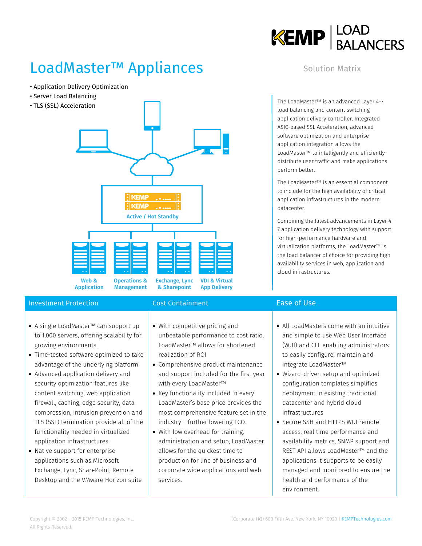

## LoadMaster™ Appliances

- Application Delivery Optimization
- Server Load Balancing
- TLS (SSL) Acceleration



### **Investment Protection Cost Containment Cost Containment** Ease of Use

- A single LoadMaster™ can support up to 1,000 servers, offering scalability for growing environments.
- Time-tested software optimized to take advantage of the underlying platform
- Advanced application delivery and security optimization features like content switching, web application firewall, caching, edge security, data compression, intrusion prevention and TLS (SSL) termination provide all of the functionality needed in virtualized application infrastructures
- Native support for enterprise applications such as Microsoft Exchange, Lync, SharePoint, Remote Desktop and the VMware Horizon suite

- With competitive pricing and unbeatable performance to cost ratio, LoadMaster™ allows for shortened realization of ROI
- Comprehensive product maintenance and support included for the first year with every LoadMaster™
- Key functionality included in every LoadMaster's base price provides the most comprehensive feature set in the industry – further lowering TCO.
- With low overhead for training, administration and setup, LoadMaster allows for the quickest time to production for line of business and corporate wide applications and web services.

### Solution Matrix

The LoadMaster™ is an advanced Layer 4-7 load balancing and content switching application delivery controller. Integrated ASIC-based SSL Acceleration, advanced software optimization and enterprise application integration allows the LoadMaster™ to intelligently and efficiently distribute user traffic and make applications perform better.

The LoadMaster™ is an essential component to include for the high availability of critical application infrastructures in the modern datacenter.

Combining the latest advancements in Layer 4- 7 application delivery technology with support for high-performance hardware and virtualization platforms, the LoadMaster™ is the load balancer of choice for providing high availability services in web, application and cloud infrastructures.

- All LoadMasters come with an intuitive and simple to use Web User Interface (WUI) and CLI, enabling administrators to easily configure, maintain and integrate LoadMaster™
- Wizard-driven setup and optimized configuration templates simplifies deployment in existing traditional datacenter and hybrid cloud infrastructures
- Secure SSH and HTTPS WUI remote access, real time performance and availability metrics, SNMP support and REST API allows LoadMaster™ and the applications it supports to be easily managed and monitored to ensure the health and performance of the environment.